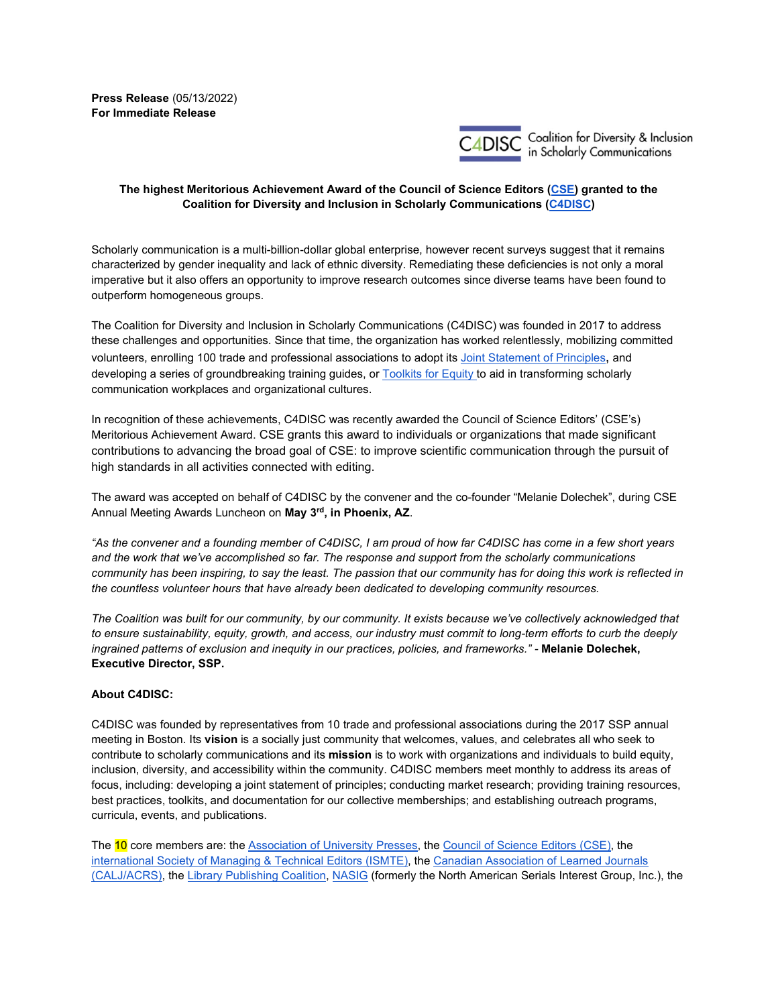**Press Release** (05/13/2022) **For Immediate Release** 



Coalition for Diversity & Inclusion<br>in Scholarly Communications

## **The highest Meritorious Achievement Award of the Council of Science Editors [\(CSE\)](https://www.councilscienceeditors.org/) granted to the Coalition for Diversity and Inclusion in Scholarly Communications [\(C4DISC\)](https://c4disc.org/)**

Scholarly communication is a multi-billion-dollar global enterprise, however recent surveys suggest that it remains characterized by gender inequality and lack of ethnic diversity. Remediating these deficiencies is not only a moral imperative but it also offers an opportunity to improve research outcomes since diverse teams have been found to outperform homogeneous groups.

The Coalition for Diversity and Inclusion in Scholarly Communications (C4DISC) was founded in 2017 to address these challenges and opportunities. Since that time, the organization has worked relentlessly, mobilizing committed volunteers, enrolling 100 trade and professional associations to adopt it[s Joint Statement of Principles,](https://c4disc.org/principles/) and developing a series of groundbreaking training guides, or [Toolkits for Equity t](https://c4disc.org/toolkits-for-equity/)o aid in transforming scholarly communication workplaces and organizational cultures.

In recognition of these achievements, C4DISC was recently awarded the Council of Science Editors' (CSE's) Meritorious Achievement Award. CSE grants this award to individuals or organizations that made significant contributions to advancing the broad goal of CSE: to improve scientific communication through the pursuit of high standards in all activities connected with editing.

The award was accepted on behalf of C4DISC by the convener and the co-founder "Melanie Dolechek", during CSE Annual Meeting Awards Luncheon on **May 3rd, in Phoenix, AZ**.

*"As the convener and a founding member of C4DISC, I am proud of how far C4DISC has come in a few short years and the work that we've accomplished so far. The response and support from the scholarly communications community has been inspiring, to say the least. The passion that our community has for doing this work is reflected in the countless volunteer hours that have already been dedicated to developing community resources.* 

*The Coalition was built for our community, by our community. It exists because we've collectively acknowledged that to ensure sustainability, equity, growth, and access, our industry must commit to long-term efforts to curb the deeply ingrained patterns of exclusion and inequity in our practices, policies, and frameworks." -* **Melanie Dolechek, Executive Director, SSP.**

## **About C4DISC:**

C4DISC was founded by representatives from 10 trade and professional associations during the 2017 SSP annual meeting in Boston. Its **vision** is a socially just community that welcomes, values, and celebrates all who seek to contribute to scholarly communications and its **mission** is to work with organizations and individuals to build equity, inclusion, diversity, and accessibility within the community. C4DISC members meet monthly to address its areas of focus, including: developing a joint statement of principles; conducting market research; providing training resources, best practices, toolkits, and documentation for our collective memberships; and establishing outreach programs, curricula, events, and publications.

The 10 core members are: th[e Association of University Presses,](https://aupresses.org/) th[e Council of Science Editors \(CSE\),](https://www.councilscienceeditors.org/) the [international Society of Managing & Technical Editors \(ISMTE\),](https://www.ismte.org/default.aspx) the [Canadian Association of Learned Journals](https://www.calj-acrs.ca/)  [\(CALJ/ACRS\),](https://www.calj-acrs.ca/) th[e Library Publishing Coalition,](https://librarypublishing.org/) [NASIG](https://nasig.org/) (formerly the North American Serials Interest Group, Inc.), the